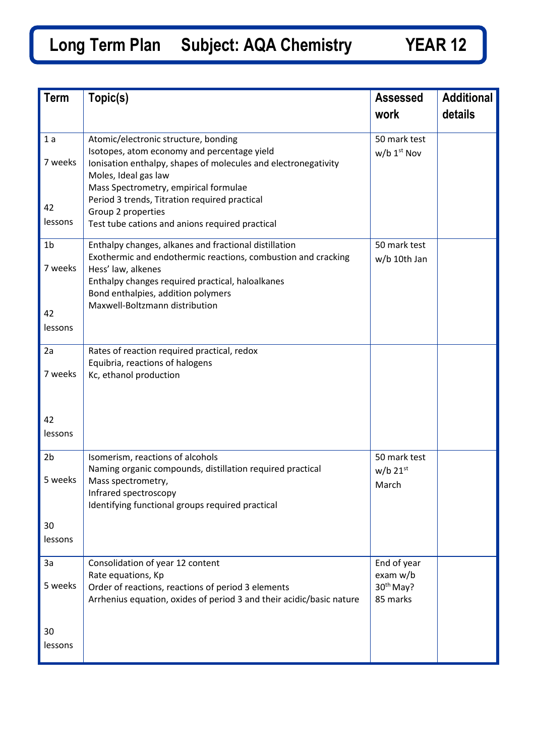## **Long Term Plan Subject: AQA Chemistry YEAR 12**

| <b>Term</b>                                | Topic(s)                                                                                                                                                                                                                                                                 | <b>Assessed</b>                                              | <b>Additional</b> |
|--------------------------------------------|--------------------------------------------------------------------------------------------------------------------------------------------------------------------------------------------------------------------------------------------------------------------------|--------------------------------------------------------------|-------------------|
|                                            |                                                                                                                                                                                                                                                                          | work                                                         | details           |
| 1a<br>7 weeks                              | Atomic/electronic structure, bonding<br>Isotopes, atom economy and percentage yield<br>Ionisation enthalpy, shapes of molecules and electronegativity<br>Moles, Ideal gas law<br>Mass Spectrometry, empirical formulae<br>Period 3 trends, Titration required practical  | 50 mark test<br>$w/b$ 1 <sup>st</sup> Nov                    |                   |
| 42<br>lessons                              | Group 2 properties<br>Test tube cations and anions required practical                                                                                                                                                                                                    |                                                              |                   |
| 1 <sub>b</sub><br>7 weeks<br>42<br>lessons | Enthalpy changes, alkanes and fractional distillation<br>Exothermic and endothermic reactions, combustion and cracking<br>Hess' law, alkenes<br>Enthalpy changes required practical, haloalkanes<br>Bond enthalpies, addition polymers<br>Maxwell-Boltzmann distribution | 50 mark test<br>w/b 10th Jan                                 |                   |
| 2a<br>7 weeks                              | Rates of reaction required practical, redox<br>Equibria, reactions of halogens<br>Kc, ethanol production                                                                                                                                                                 |                                                              |                   |
| 42<br>lessons                              |                                                                                                                                                                                                                                                                          |                                                              |                   |
| 2 <sub>b</sub><br>5 weeks                  | Isomerism, reactions of alcohols<br>Naming organic compounds, distillation required practical<br>Mass spectrometry,<br>Infrared spectroscopy<br>Identifying functional groups required practical                                                                         | 50 mark test<br>$w/b$ 21st<br>March                          |                   |
| 30<br>lessons                              |                                                                                                                                                                                                                                                                          |                                                              |                   |
| 3a<br>5 weeks                              | Consolidation of year 12 content<br>Rate equations, Kp<br>Order of reactions, reactions of period 3 elements<br>Arrhenius equation, oxides of period 3 and their acidic/basic nature                                                                                     | End of year<br>exam w/b<br>30 <sup>th</sup> May?<br>85 marks |                   |
| 30<br>lessons                              |                                                                                                                                                                                                                                                                          |                                                              |                   |